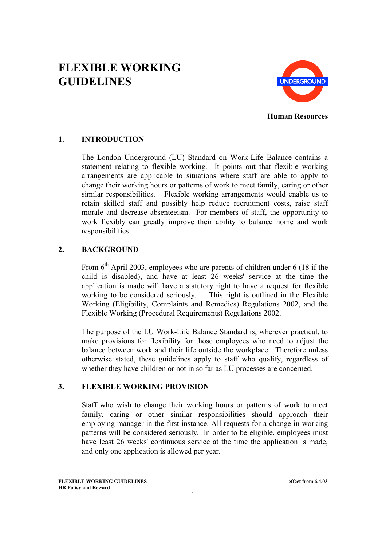# **FLEXIBLE WORKING GUIDELINES**



**Human Resources**

# **1. INTRODUCTION**

The London Underground (LU) Standard on Work-Life Balance contains a statement relating to flexible working. It points out that flexible working arrangements are applicable to situations where staff are able to apply to change their working hours or patterns of work to meet family, caring or other similar responsibilities. Flexible working arrangements would enable us to retain skilled staff and possibly help reduce recruitment costs, raise staff morale and decrease absenteeism. For members of staff, the opportunity to work flexibly can greatly improve their ability to balance home and work responsibilities.

## **2. BACKGROUND**

From  $6<sup>th</sup>$  April 2003, employees who are parents of children under 6 (18 if the child is disabled), and have at least 26 weeks' service at the time the application is made will have a statutory right to have a request for flexible working to be considered seriously. This right is outlined in the Flexible Working (Eligibility, Complaints and Remedies) Regulations 2002, and the Flexible Working (Procedural Requirements) Regulations 2002.

The purpose of the LU Work-Life Balance Standard is, wherever practical, to make provisions for flexibility for those employees who need to adjust the balance between work and their life outside the workplace. Therefore unless otherwise stated, these guidelines apply to staff who qualify, regardless of whether they have children or not in so far as LU processes are concerned.

## **3. FLEXIBLE WORKING PROVISION**

Staff who wish to change their working hours or patterns of work to meet family, caring or other similar responsibilities should approach their employing manager in the first instance. All requests for a change in working patterns will be considered seriously. In order to be eligible, employees must have least 26 weeks' continuous service at the time the application is made, and only one application is allowed per year.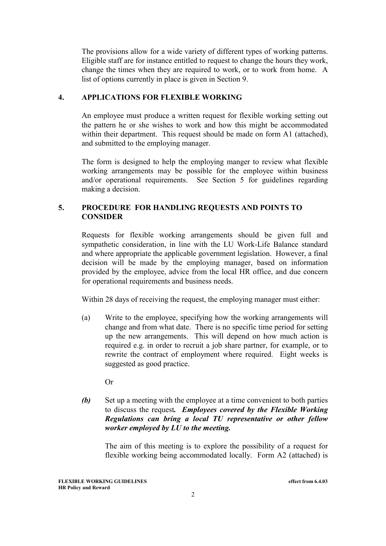The provisions allow for a wide variety of different types of working patterns. Eligible staff are for instance entitled to request to change the hours they work, change the times when they are required to work, or to work from home. A list of options currently in place is given in Section 9.

#### **4. APPLICATIONS FOR FLEXIBLE WORKING**

An employee must produce a written request for flexible working setting out the pattern he or she wishes to work and how this might be accommodated within their department. This request should be made on form A1 (attached), and submitted to the employing manager.

The form is designed to help the employing manger to review what flexible working arrangements may be possible for the employee within business and/or operational requirements. See Section 5 for guidelines regarding making a decision.

#### **5. PROCEDURE FOR HANDLING REQUESTS AND POINTS TO CONSIDER**

Requests for flexible working arrangements should be given full and sympathetic consideration, in line with the LU Work-Life Balance standard and where appropriate the applicable government legislation. However, a final decision will be made by the employing manager, based on information provided by the employee, advice from the local HR office, and due concern for operational requirements and business needs.

Within 28 days of receiving the request, the employing manager must either:

- (a) Write to the employee, specifying how the working arrangements will change and from what date. There is no specific time period for setting up the new arrangements. This will depend on how much action is required e.g. in order to recruit a job share partner, for example, or to rewrite the contract of employment where required. Eight weeks is suggested as good practice.
	- Or
- *(b)* Set up a meeting with the employee at a time convenient to both parties to discuss the request*. Employees covered by the Flexible Working Regulations can bring a local TU representative or other fellow worker employed by LU to the meeting.*

The aim of this meeting is to explore the possibility of a request for flexible working being accommodated locally. Form A2 (attached) is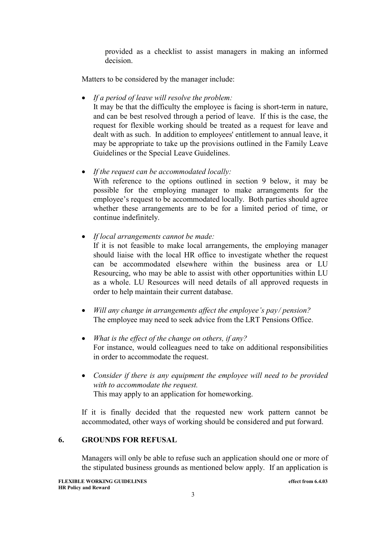provided as a checklist to assist managers in making an informed decision.

Matters to be considered by the manager include:

*If a period of leave will resolve the problem:*

It may be that the difficulty the employee is facing is short-term in nature, and can be best resolved through a period of leave. If this is the case, the request for flexible working should be treated as a request for leave and dealt with as such. In addition to employees' entitlement to annual leave, it may be appropriate to take up the provisions outlined in the Family Leave Guidelines or the Special Leave Guidelines.

*If the request can be accommodated locally:*

With reference to the options outlined in section 9 below, it may be possible for the employing manager to make arrangements for the employee's request to be accommodated locally. Both parties should agree whether these arrangements are to be for a limited period of time, or continue indefinitely.

*If local arrangements cannot be made:*

If it is not feasible to make local arrangements, the employing manager should liaise with the local HR office to investigate whether the request can be accommodated elsewhere within the business area or LU Resourcing, who may be able to assist with other opportunities within LU as a whole. LU Resources will need details of all approved requests in order to help maintain their current database.

- *Will any change in arrangements affect the employee's pay / pension?* The employee may need to seek advice from the LRT Pensions Office.
- *What is the effect of the change on others, if any?* For instance, would colleagues need to take on additional responsibilities in order to accommodate the request.
- *Consider if there is any equipment the employee will need to be provided with to accommodate the request.* This may apply to an application for homeworking.

If it is finally decided that the requested new work pattern cannot be accommodated, other ways of working should be considered and put forward.

## **6. GROUNDS FOR REFUSAL**

Managers will only be able to refuse such an application should one or more of the stipulated business grounds as mentioned below apply. If an application is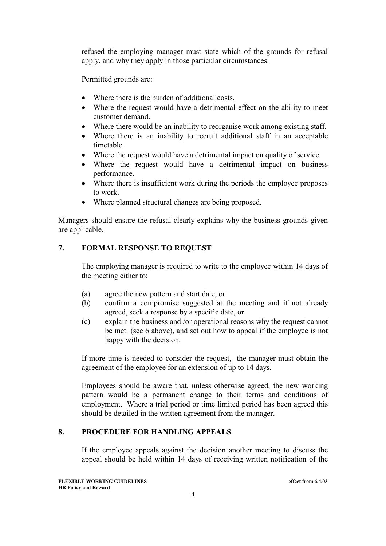refused the employing manager must state which of the grounds for refusal apply, and why they apply in those particular circumstances.

Permitted grounds are:

- Where there is the burden of additional costs.
- Where the request would have a detrimental effect on the ability to meet customer demand.
- Where there would be an inability to reorganise work among existing staff.
- Where there is an inability to recruit additional staff in an acceptable timetable.
- Where the request would have a detrimental impact on quality of service.
- Where the request would have a detrimental impact on business performance.
- Where there is insufficient work during the periods the employee proposes to work.
- Where planned structural changes are being proposed.

Managers should ensure the refusal clearly explains why the business grounds given are applicable.

#### **7. FORMAL RESPONSE TO REQUEST**

The employing manager is required to write to the employee within 14 days of the meeting either to:

- (a) agree the new pattern and start date, or
- (b) confirm a compromise suggested at the meeting and if not already agreed, seek a response by a specific date, or
- (c) explain the business and /or operational reasons why the request cannot be met (see 6 above), and set out how to appeal if the employee is not happy with the decision.

If more time is needed to consider the request, the manager must obtain the agreement of the employee for an extension of up to 14 days.

Employees should be aware that, unless otherwise agreed, the new working pattern would be a permanent change to their terms and conditions of employment. Where a trial period or time limited period has been agreed this should be detailed in the written agreement from the manager.

## **8. PROCEDURE FOR HANDLING APPEALS**

If the employee appeals against the decision another meeting to discuss the appeal should be held within 14 days of receiving written notification of the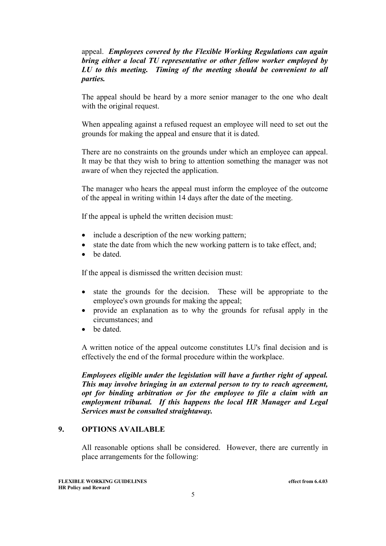#### appeal. *Employees covered by the Flexible Working Regulations can again bring either a local TU representative or other fellow worker employed by LU to this meeting. Timing of the meeting should be convenient to all parties.*

The appeal should be heard by a more senior manager to the one who dealt with the original request.

When appealing against a refused request an employee will need to set out the grounds for making the appeal and ensure that it is dated.

There are no constraints on the grounds under which an employee can appeal. It may be that they wish to bring to attention something the manager was not aware of when they rejected the application.

The manager who hears the appeal must inform the employee of the outcome of the appeal in writing within 14 days after the date of the meeting.

If the appeal is upheld the written decision must:

- include a description of the new working pattern;
- $\bullet$  state the date from which the new working pattern is to take effect, and;
- he dated

If the appeal is dismissed the written decision must:

- state the grounds for the decision. These will be appropriate to the employee's own grounds for making the appeal;
- provide an explanation as to why the grounds for refusal apply in the circumstances; and
- be dated

A written notice of the appeal outcome constitutes LU's final decision and is effectively the end of the formal procedure within the workplace.

*Employees eligible under the legislation will have a further right of appeal. This may involve bringing in an external person to try to reach agreement, opt for binding arbitration or for the employee to file a claim with an employment tribunal. If this happens the local HR Manager and Legal Services must be consulted straightaway.*

#### **9. OPTIONS AVAILABLE**

All reasonable options shall be considered. However, there are currently in place arrangements for the following: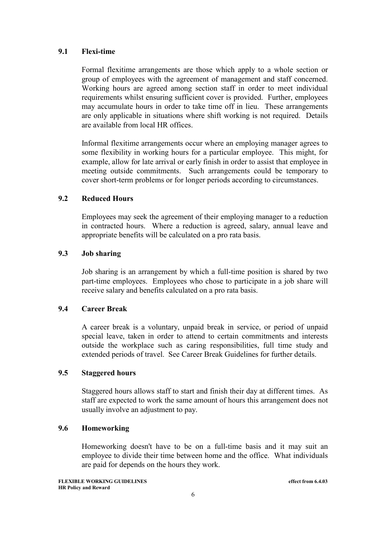#### **9.1 Flexi-time**

Formal flexitime arrangements are those which apply to a whole section or group of employees with the agreement of management and staff concerned. Working hours are agreed among section staff in order to meet individual requirements whilst ensuring sufficient cover is provided. Further, employees may accumulate hours in order to take time off in lieu. These arrangements are only applicable in situations where shift working is not required. Details are available from local HR offices.

Informal flexitime arrangements occur where an employing manager agrees to some flexibility in working hours for a particular employee. This might, for example, allow for late arrival or early finish in order to assist that employee in meeting outside commitments. Such arrangements could be temporary to cover short-term problems or for longer periods according to circumstances.

#### **9.2 Reduced Hours**

Employees may seek the agreement of their employing manager to a reduction in contracted hours. Where a reduction is agreed, salary, annual leave and appropriate benefits will be calculated on a pro rata basis.

#### **9.3 Job sharing**

Job sharing is an arrangement by which a full-time position is shared by two part-time employees. Employees who chose to participate in a job share will receive salary and benefits calculated on a pro rata basis.

#### **9.4 Career Break**

A career break is a voluntary, unpaid break in service, or period of unpaid special leave, taken in order to attend to certain commitments and interests outside the workplace such as caring responsibilities, full time study and extended periods of travel. See Career Break Guidelines for further details.

#### **9.5 Staggered hours**

Staggered hours allows staff to start and finish their day at different times. As staff are expected to work the same amount of hours this arrangement does not usually involve an adjustment to pay.

## **9.6 Homeworking**

Homeworking doesn't have to be on a full-time basis and it may suit an employee to divide their time between home and the office. What individuals are paid for depends on the hours they work.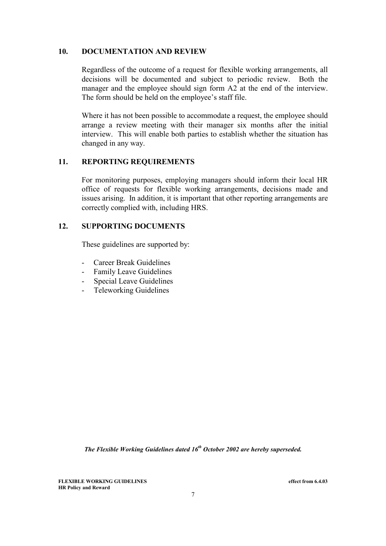#### **10. DOCUMENTATION AND REVIEW**

Regardless of the outcome of a request for flexible working arrangements, all decisions will be documented and subject to periodic review. Both the manager and the employee should sign form A2 at the end of the interview. The form should be held on the employee's staff file.

Where it has not been possible to accommodate a request, the employee should arrange a review meeting with their manager six months after the initial interview. This will enable both parties to establish whether the situation has changed in any way.

#### **11. REPORTING REQUIREMENTS**

For monitoring purposes, employing managers should inform their local HR office of requests for flexible working arrangements, decisions made and issues arising. In addition, it is important that other reporting arrangements are correctly complied with, including HRS.

## **12. SUPPORTING DOCUMENTS**

These guidelines are supported by:

- Career Break Guidelines
- Family Leave Guidelines
- Special Leave Guidelines
- Teleworking Guidelines

*The Flexible Working Guidelines dated 16<sup>th</sup> October 2002 are hereby superseded.* 

**FLEXIBLE WORKING GUIDELINES effect from 6.4.03 HR Policy and Reward**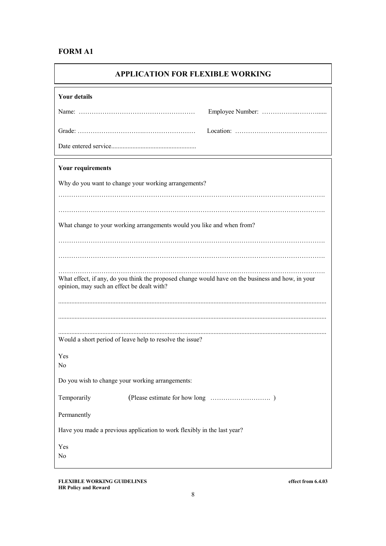# **FORM A1**

| <b>APPLICATION FOR FLEXIBLE WORKING</b>                                                                                                         |  |  |  |
|-------------------------------------------------------------------------------------------------------------------------------------------------|--|--|--|
| <b>Your details</b>                                                                                                                             |  |  |  |
|                                                                                                                                                 |  |  |  |
|                                                                                                                                                 |  |  |  |
|                                                                                                                                                 |  |  |  |
| <b>Your requirements</b>                                                                                                                        |  |  |  |
| Why do you want to change your working arrangements?                                                                                            |  |  |  |
|                                                                                                                                                 |  |  |  |
| What change to your working arrangements would you like and when from?                                                                          |  |  |  |
|                                                                                                                                                 |  |  |  |
|                                                                                                                                                 |  |  |  |
| What effect, if any, do you think the proposed change would have on the business and how, in your<br>opinion, may such an effect be dealt with? |  |  |  |
|                                                                                                                                                 |  |  |  |
|                                                                                                                                                 |  |  |  |
| Would a short period of leave help to resolve the issue?                                                                                        |  |  |  |
| Yes                                                                                                                                             |  |  |  |
| N <sub>0</sub>                                                                                                                                  |  |  |  |
| Do you wish to change your working arrangements:                                                                                                |  |  |  |
| Temporarily                                                                                                                                     |  |  |  |
| Permanently<br>Have you made a previous application to work flexibly in the last year?                                                          |  |  |  |
| Yes                                                                                                                                             |  |  |  |
| No                                                                                                                                              |  |  |  |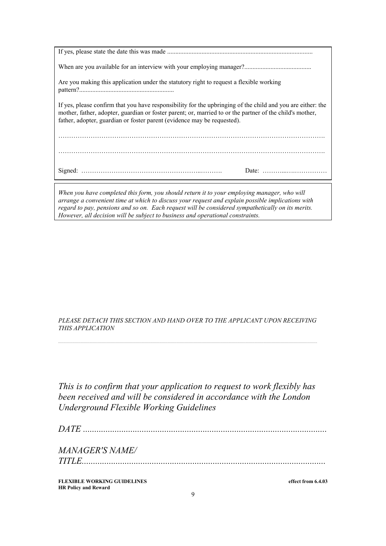| Are you making this application under the statutory right to request a flexible working                                                                                                                                                                                                            |  |  |
|----------------------------------------------------------------------------------------------------------------------------------------------------------------------------------------------------------------------------------------------------------------------------------------------------|--|--|
| If yes, please confirm that you have responsibility for the upbringing of the child and you are either: the<br>mother, father, adopter, guardian or foster parent; or, married to or the partner of the child's mother,<br>father, adopter, guardian or foster parent (evidence may be requested). |  |  |
|                                                                                                                                                                                                                                                                                                    |  |  |
|                                                                                                                                                                                                                                                                                                    |  |  |
| $\mathbf{H}^H$ and $\mathbf{H}$ and $\mathbf{H}$ and $\mathbf{H}$ and $\mathbf{H}$ and $\mathbf{H}$ and $\mathbf{H}$ and $\mathbf{H}$ and $\mathbf{H}$ and $\mathbf{H}$ and $\mathbf{H}$ and $\mathbf{H}$ and $\mathbf{H}$ and $\mathbf{H}$ and $\mathbf{H}$ and $\mathbf{H}$ and $\mathbf{H}$ an  |  |  |

*When you have completed this form, you should return it to your employing manager, who will arrange a convenient time at which to discuss your request and explain possible implications with regard to pay, pensions and so on. Each request will be considered sympathetically on its merits. However, all decision will be subject to business and operational constraints.*

*PLEASE DETACH THIS SECTION AND HAND OVER TO THE APPLICANT UPON RECEIVING THIS APPLICATION* 

*................................................................................................................................................................................................................................................................*

*This is to confirm that your application to request to work flexibly has been received and will be considered in accordance with the London Underground Flexible Working Guidelines* 

*DATE ............................................................................................................*

*MANAGER'S NAME/*

*TITLE............................................................................................................*

**FLEXIBLE WORKING GUIDELINES effect from 6.4.03 HR Policy and Reward**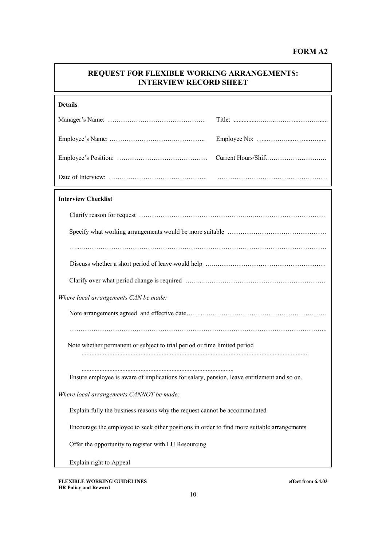# **FORM A2**

| <b>REQUEST FOR FLEXIBLE WORKING ARRANGEMENTS:</b><br><b>INTERVIEW RECORD SHEET</b>         |  |  |
|--------------------------------------------------------------------------------------------|--|--|
| <b>Details</b>                                                                             |  |  |
|                                                                                            |  |  |
|                                                                                            |  |  |
|                                                                                            |  |  |
|                                                                                            |  |  |
| <b>Interview Checklist</b>                                                                 |  |  |
|                                                                                            |  |  |
|                                                                                            |  |  |
|                                                                                            |  |  |
|                                                                                            |  |  |
|                                                                                            |  |  |
| Where local arrangements CAN be made:                                                      |  |  |
|                                                                                            |  |  |
| Note whether permanent or subject to trial period or time limited period                   |  |  |
| Ensure employee is aware of implications for salary, pension, leave entitlement and so on. |  |  |
| Where local arrangements CANNOT be made:                                                   |  |  |
| Explain fully the business reasons why the request cannot be accommodated                  |  |  |
| Encourage the employee to seek other positions in order to find more suitable arrangements |  |  |
| Offer the opportunity to register with LU Resourcing                                       |  |  |
| Explain right to Appeal                                                                    |  |  |

**FLEXIBLE WORKING GUIDELINES effect from 6.4.03 HR Policy and Reward**